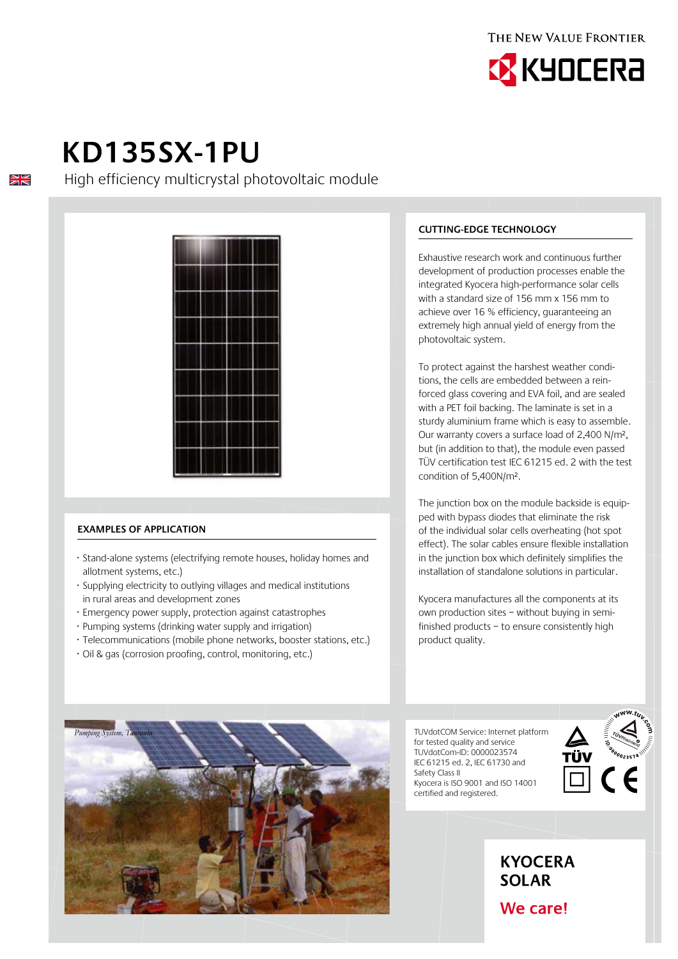



# **KD135SX-1PU**

 $\frac{\sum x}{\sum x}$ 

High efficiency multicrystal photovoltaic module



## **Examples of application**

- · Stand-alone systems (electrifying remote houses, holiday homes and allotment systems, etc.)
- · Supplying electricity to outlying villages and medical institutions in rural areas and development zones
- · Emergency power supply, protection against catastrophes
- · Pumping systems (drinking water supply and irrigation)
- · Telecommunications (mobile phone networks, booster stations, etc.)
- · Oil & gas (corrosion proofing, control, monitoring, etc.)

## **Cutting-edge technology**

Exhaustive research work and continuous further development of production processes enable the integrated Kyocera high-performance solar cells with a standard size of 156 mm x 156 mm to achieve over 16 % efficiency, guaranteeing an extremely high annual yield of energy from the photovoltaic system.

To protect against the harshest weather conditions, the cells are embedded between a reinforced glass covering and EVA foil, and are sealed with a PET foil backing. The laminate is set in a sturdy aluminium frame which is easy to assemble. Our warranty covers a surface load of 2,400 N/m², but (in addition to that), the module even passed TÜV certification test IEC 61215 ed. 2 with the test condition of 5,400N/m².

The junction box on the module backside is equipped with bypass diodes that eliminate the risk of the individual solar cells overheating (hot spot effect). The solar cables ensure flexible installation in the junction box which definitely simplifies the installation of standalone solutions in particular.

Kyocera manufactures all the components at its own production sites – without buying in semifinished products – to ensure consistently high product quality.

TUVdotCOM Service: Internet platform for tested quality and service TUVdotCom-ID: 0000023574 IEC 61215 ed. 2, IEC 61730 and Safety Class II Kyocera is ISO 9001 and ISO 14001 certified and registered.